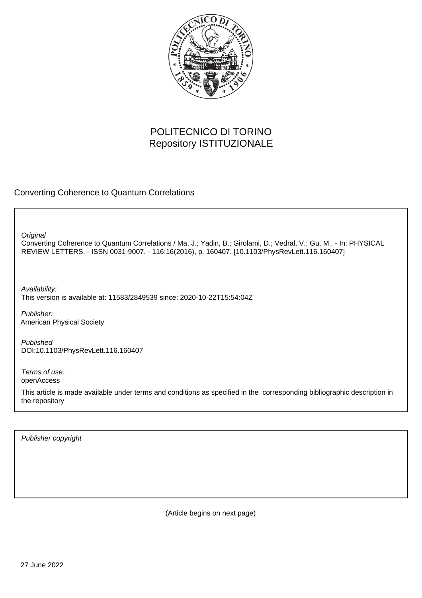

## POLITECNICO DI TORINO Repository ISTITUZIONALE

Converting Coherence to Quantum Correlations

**Original** 

Converting Coherence to Quantum Correlations / Ma, J.; Yadin, B.; Girolami, D.; Vedral, V.; Gu, M.. - In: PHYSICAL REVIEW LETTERS. - ISSN 0031-9007. - 116:16(2016), p. 160407. [10.1103/PhysRevLett.116.160407]

Availability: This version is available at: 11583/2849539 since: 2020-10-22T15:54:04Z

Publisher: American Physical Society

Published DOI:10.1103/PhysRevLett.116.160407

Terms of use: openAccess

This article is made available under terms and conditions as specified in the corresponding bibliographic description in the repository

Publisher copyright

(Article begins on next page)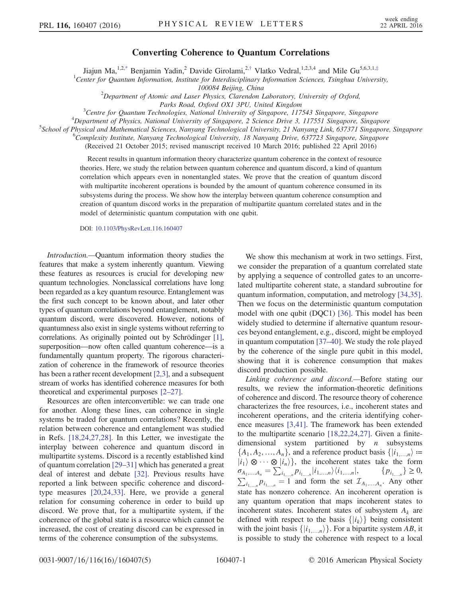## Converting Coherence to Quantum Correlations

Jiajun Ma,<sup>1,2,\*</sup> Benjamin Yadin,<sup>2</sup> Davide Girolami,<sup>2,†</sup> Vlatko Vedral,<sup>1,2,3,4</sup> and Mile Gu<sup>5,6,3,1,‡</sup>

<sup>1</sup>Center for Quantum Information, Institute for Interdisciplinary Information Sciences, Tsinghua University,

100084 Beijing, China<br><sup>2</sup>Department of Atomic and Laser Physics, Clarendon Laboratory, University of Oxford,

Parks Road, Oxford OX1 3PU, United Kingdom<br><sup>3</sup>Centre for Quantum Technologies, National University of Singgrous, 117

<sup>3</sup> Centre for Quantum Technologies, National University of Singapore, 117543 Singapore, Singapore<sup>4</sup> Department of Physics, National University of Singapore, 2, Science Drive 3, 117551 Singapore, Singapore

 $^{4}$ Department of Physics, National University of Singapore, 2 Science Drive 3, 117551 Singapore, Singapore

<sup>S</sup>School of Physical and Mathematical Sciences, Nanyang Technological University, 21 Nanyang Link, 637371 Singapore, Singapore

<sup>6</sup>Complexity Institute, Nanyang Technological University, 18 Nanyang Drive, 637723 Singapore, Singapore

(Received 21 October 2015; revised manuscript received 10 March 2016; published 22 April 2016)

Recent results in quantum information theory characterize quantum coherence in the context of resource theories. Here, we study the relation between quantum coherence and quantum discord, a kind of quantum correlation which appears even in nonentangled states. We prove that the creation of quantum discord with multipartite incoherent operations is bounded by the amount of quantum coherence consumed in its subsystems during the process. We show how the interplay between quantum coherence consumption and creation of quantum discord works in the preparation of multipartite quantum correlated states and in the model of deterministic quantum computation with one qubit.

DOI: [10.1103/PhysRevLett.116.160407](http://dx.doi.org/10.1103/PhysRevLett.116.160407)

Introduction.—Quantum information theory studies the features that make a system inherently quantum. Viewing these features as resources is crucial for developing new quantum technologies. Nonclassical correlations have long been regarded as a key quantum resource. Entanglement was the first such concept to be known about, and later other types of quantum correlations beyond entanglement, notably quantum discord, were discovered. However, notions of quantumness also exist in single systems without referring to correlations. As originally pointed out by Schrödinger [1], superposition—now often called quantum coherence—is a fundamentally quantum property. The rigorous characterization of coherence in the framework of resource theories has been a rather recent development [2,3], and a subsequent stream of works has identified coherence measures for both theoretical and experimental purposes [2–27].

Resources are often interconvertible: we can trade one for another. Along these lines, can coherence in single systems be traded for quantum correlations? Recently, the relation between coherence and entanglement was studied in Refs. [18,24,27,28]. In this Letter, we investigate the interplay between coherence and quantum discord in multipartite systems. Discord is a recently established kind of quantum correlation [29–31] which has generated a great deal of interest and debate [32]. Previous results have reported a link between specific coherence and discordtype measures [20,24,33]. Here, we provide a general relation for consuming coherence in order to build up discord. We prove that, for a multipartite system, if the coherence of the global state is a resource which cannot be increased, the cost of creating discord can be expressed in terms of the coherence consumption of the subsystems.

We show this mechanism at work in two settings. First, we consider the preparation of a quantum correlated state by applying a sequence of controlled gates to an uncorrelated multipartite coherent state, a standard subroutine for quantum information, computation, and metrology [34,35]. Then we focus on the deterministic quantum computation model with one qubit (DQC1) [36]. This model has been widely studied to determine if alternative quantum resources beyond entanglement, e.g., discord, might be employed in quantum computation [37–40]. We study the role played by the coherence of the single pure qubit in this model, showing that it is coherence consumption that makes discord production possible.

Linking coherence and discord.—Before stating our results, we review the information-theoretic definitions of coherence and discord. The resource theory of coherence characterizes the free resources, i.e., incoherent states and incoherent operations, and the criteria identifying coherence measures [3,41]. The framework has been extended to the multipartite scenario [18,22,24,27]. Given a finitedimensional system partitioned by  $n$  subsystems  ${A_1, A_2, ..., A_n}$ , and a reference product basis  ${i_1, ..., n} \coloneqq$  $\langle i_1 \rangle \otimes \cdots \otimes \langle i_n \rangle$ , the incoherent states take the form  $\sigma_{A_1,...,A_n} = \sum_{i_1,...,n}^{(n)} p_{i_1,...,n} |i_1,...,n\rangle \langle i_1,...,n|,$   $\{p_{i_1,...,n}\} \ge 0,$ <br>  $\sum_{i_1,...,n} p_{i_1,...,n} = 1$  and form the set  $\mathcal{I}_{A_1,...,A_n}$ . Any other state has nonzero coherence. An incoherent operation is any quantum operation that maps incoherent states to incoherent states. Incoherent states of subsystem  $A_k$  are defined with respect to the basis  $\{|i_k\rangle\}$  being consistent with the joint basis  $\{|i_{1,...,n}\rangle\}$ . For a bipartite system AB, it is possible to study the coherence with respect to a local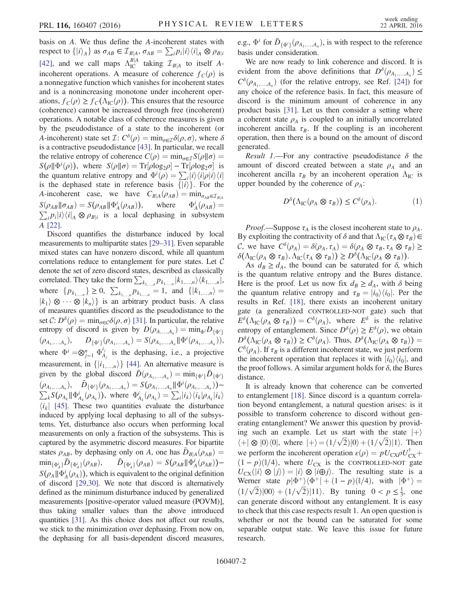basis on A. We thus define the A-incoherent states with respect to  $\{|i\rangle_A\}$  as  $\sigma_{AB} \in \mathcal{I}_{B|A}, \sigma_{AB} = \sum_i p_i |i\rangle\langle i|_A \otimes \rho_{B|i}$ [42], and we call maps  $\Lambda_{IC}^{B|A}$  taking  $\mathcal{I}_{B|A}$  to itself A-<br>incoherent exerctions. A magazine of expression f (c) is incoherent operations. A measure of coherence  $f_C(\rho)$  is a nonnegative function which vanishes for incoherent states and is a nonincreasing monotone under incoherent operations,  $f_c(\rho) \ge f_c(\Lambda_{IC}(\rho))$ . This ensures that the resource (coherence) cannot be increased through free (incoherent) operations. A notable class of coherence measures is given by the pseudodistance of a state to the incoherent (or A-incoherent) state set  $\mathcal{I}: C^{\delta}(\rho) = \min_{\sigma \in \mathcal{I}} \delta(\rho, \sigma)$ , where  $\delta$ is a contractive pseudodistance [43]. In particular, we recall the relative entropy of coherence  $C(\rho) = \min_{\sigma \in \mathcal{I}} S(\rho||\sigma) =$  $S(\rho || \Phi^i(\rho))$ , where  $S(\rho || \sigma) = \text{Tr}[\rho \log_2 \rho] - \text{Tr}[\rho \log_2 \sigma]$  is<br>the quantum relative entropy and  $\Phi^i(\rho) = \sum |i\rangle \langle i|\rho |i\rangle \langle i|$ the quantum relative entropy and  $\Phi^{i}(\rho) = \sum_{i} |i\rangle\langle i|\rho|i\rangle\langle i|$ <br>is the dephased state in reference basis  $\{ |i\rangle \}$ . For the is the dephased state in reference basis  $\{|i\rangle\}$ . For the A-incoherent case, we have  $C_{B|A}(\rho_{AB}) = \min_{\sigma_{AB} \in \mathcal{I}_{B|A}}$  $S(\rho_{AB}||\sigma_{AB}) = S(\rho_{AB}||\Phi_A^i(\rho_{AB}))$ , where  $\Phi_A^i(\rho_{AB}) = \sum_{B} p_{A}i \sqrt{i} \sum_{B} \rho_{AB}$  $\sum_i p_i|i\rangle\langle i|_A \otimes \rho_{B|i}$  is a local dephasing in subsystem A [22].

Discord quantifies the disturbance induced by local measurements to multipartite states [29–31]. Even separable mixed states can have nonzero discord, while all quantum correlations reduce to entanglement for pure states. Let C denote the set of zero discord states, described as classically correlated. They take the form  $\sum_{k_1,\dots,n} p_{k_1,\dots,n} |k_1,\dots,n\rangle \langle k_1,\dots,n|$ , where  $\{p_{k_{1,...,n}}\}\geq 0$ ,  $\sum_{k_{1,...,n}}p_{k_{1,...,n}}=1$ , and  $\{|k_{1,...,n}\rangle=$  $|k_1\rangle \otimes \cdots \otimes |k_n\rangle$  is an arbitrary product basis. A class<br>of measures quantifies discord as the pseudodistance to the of measures quantifies discord as the pseudodistance to the set  $\mathcal{C}: D^{\delta}(\rho) = \min_{\sigma \in \mathcal{C}} \delta(\rho, \sigma)$  [31]. In particular, the relative entropy of discord is given by  $D(\rho_{A,...,A_n}) = \min_{\Phi} D_{\{\Phi^i\}}$  $(\rho_{A_1,...,A_n}), \qquad D_{\{\Phi^i\}}(\rho_{A_1,...,A_n}) = S(\rho_{A_1,...,A_n}||\Phi^i(\rho_{A_1,...,A_n})),$ where  $\Phi^i = \otimes_{j=1}^n \Phi_{A_j}^{i_j}$  is the dephasing, i.e., a projective measurement, in  $\{|i_{1,...,n}\rangle\}$  [44]. An alternative measure is given by the global discord  $\bar{D}(\rho_{A_1,...,A_n}) = \min_{\{\Phi^i\}} \bar{D}_{\{\Phi^i\}}$  $(\rho_{A_1,...,A_n}), \bar{D}_{\{\Phi^i\}}(\rho_{A_1,...,A_n}) = S(\rho_{A_1,...,A_n} || \Phi^i(\rho_{A_1,...,A_n})) (\rho_{A_1,...,A_n}), \quad \bar{D}_{\{\Phi^i\}}(\rho_{A_1,...,A_n}) = S(\rho_{A_1,...,A_n} || \Phi^i(\rho_{A_1,...,A_n})) - \sum_k S(\rho_{A_k} || \Phi^i_{A_k}(\rho_{A_k}))$ , where  $\Phi^i_{A_k}(\rho_{A_k}) = \sum_i |i_k\rangle\langle i_k|\rho_{A_k}|i_k\rangle$  $\langle i_k|$  [45]. These two quantities evaluate the disturbance induced by applying local dephasing to all of the subsystems. Yet, disturbance also occurs when performing local measurements on only a fraction of the subsystems. This is captured by the asymmetric discord measures. For bipartite states  $\rho_{AB}$ , by dephasing only on A, one has  $\bar{D}_{B|A}(\rho_{AB})=$  $\min_{\{\Phi_A^i\}} \bar{D}_{\{\Phi_A^i\}}(\rho_{AB}), \quad \bar{D}_{\{\Phi_A^i\}}(\rho_{AB}) = S(\rho_{AB} || \Phi_A^i(\rho_{AB})) S(\rho_A || \Phi_A^i(\rho_A))$ , which is equivalent to the original definition<br>of discord [29.30]. We note that discord is alternatively of discord [29,30]. We note that discord is alternatively defined as the minimum disturbance induced by generalized measurements [positive-operator valued measure (POVM)], thus taking smaller values than the above introduced quantities [31]. As this choice does not affect our results, we stick to the minimization over dephasing. From now on, the dephasing for all basis-dependent discord measures,

e.g.,  $\Phi^i$  for  $\bar{D}_{\{\Phi^i\}}(\rho_{A_1,...,A_n})$ , is with respect to the reference basis under consideration.

We are now ready to link coherence and discord. It is evident from the above definitions that  $D^{\delta}(\rho_{A_1,...,A_n}) \leq$  $C^{\delta}(\rho_{A_1,...,A_n})$  (for the relative entropy, see Ref. [24]) for any choice of the reference basis. In fact, this measure of discord is the minimum amount of coherence in any product basis [31]. Let us then consider a setting where a coherent state  $\rho_A$  is coupled to an initially uncorrelated incoherent ancilla  $\tau_B$ . If the coupling is an incoherent operation, then there is a bound on the amount of discord generated.

Result 1.—For any contractive pseudodistance  $\delta$  the amount of discord created between a state  $\rho_A$  and an incoherent ancilla  $\tau_B$  by an incoherent operation  $\Lambda_{\text{IC}}$  is upper bounded by the coherence of  $\rho_A$ :

$$
D^{\delta}(\Lambda_{\text{IC}}(\rho_A \otimes \tau_B)) \leq C^{\delta}(\rho_A). \tag{1}
$$

*Proof.*—Suppose  $\tau_A$  is the closest incoherent state to  $\rho_A$ . By exploiting the contractivity of  $\delta$  and that  $\Lambda_{\text{IC}}(\tau_A \otimes \tau_B) \in$ C, we have  $C^{\delta}(\rho_A) = \delta(\rho_A, \tau_A) = \delta(\rho_A \otimes \tau_B, \tau_A \otimes \tau_B) \geq$  $\delta(\Lambda_{\text{IC}}(\rho_A \otimes \tau_B), \Lambda_{\text{IC}}(\tau_A \otimes \tau_B)) \geq D^{\delta}(\Lambda_{\text{IC}}(\rho_A \otimes \tau_B)).$ 

As  $d_B \geq d_A$ , the bound can be saturated for  $\delta$ , which is the quantum relative entropy and the Bures distance. Here is the proof. Let us now fix  $d_B \geq d_A$ , with  $\delta$  being the quantum relative entropy and  $\tau_B = |i_0\rangle\langle i_0|$ . Per the results in Ref. [18], there exists an incoherent unitary gate (a generalized CONTROLLED-NOT gate) such that  $E^{\delta}(\Lambda_{\text{IC}}(\rho_A \otimes \tau_B)) = C^{\delta}(\rho_A)$ , where  $E^{\delta}$  is the relative entropy of entanglement. Since  $D^{\delta}(\rho) \geq E^{\delta}(\rho)$ , we obtain  $D^{\delta}(\Lambda_{\text{IC}}(\rho_A \otimes \tau_B)) \geq C^{\delta}(\rho_A)$ . Thus,  $D^{\delta}(\Lambda_{\text{IC}}(\rho_A \otimes \tau_B)) =$  $C^{\delta}(\rho_A)$ . If  $\tau_B$  is a different incoherent state, we just perform<br>the incoherent operation that replaces it with  $|i_{\delta}\rangle\langle i_{\delta}|$  and the incoherent operation that replaces it with  $|i_0\rangle\langle i_0|$ , and the proof follows. A similar argument holds for  $\delta$ , the Bures distance.

It is already known that coherence can be converted to entanglement [18]. Since discord is a quantum correlation beyond entanglement, a natural question arises: is it possible to transform coherence to discord without generating entanglement? We answer this question by providing such an example. Let us start with the state  $|+\rangle$  $\langle + | \otimes | 0 \rangle \langle 0 |$ , where  $| + \rangle = (1/\sqrt{2}) | 0 \rangle + (1/\sqrt{2}) | 1 \rangle$ . Then we perform the incoherent operation  $\varepsilon(\rho) = pU_{\text{CX}}\rho U_{\text{CY}}^{\dagger} +$ We perform the incoherent operation  $\varepsilon(p) = p \sigma \exp(\varepsilon x)$ <br>  $(I - p)(\ell/4)$ , where  $U_{CX}$  is the CONTROLLED-NOT gate<br>  $U_{CV}(|i\rangle \otimes |i\rangle) - |i\rangle \otimes |i\hat{\mathbf{\Theta}}i\rangle$ . The resulting state is a  $U_{\rm CY}(|i\rangle \otimes |j\rangle) = |i\rangle \otimes |i \oplus j\rangle$ . The resulting state is a Werner state  $p|\Phi^+\rangle\langle\Phi^+| + (1-p)(\frac{\beta}{4})$ , with  $|\Phi^+\rangle =$  $\left(\frac{1}{\sqrt{2}}\right)|00\rangle + \left(\frac{1}{\sqrt{2}}\right)|11\rangle$ . By tuning  $0 < p \le \frac{1}{3}$ , one can generate discord without any entanglement. It is easy to check that this case respects result 1. An open question is whether or not the bound can be saturated for some separable output state. We leave this issue for future research.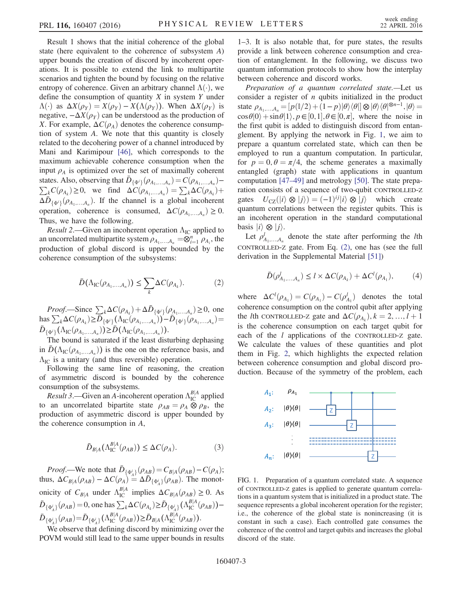Result 1 shows that the initial coherence of the global state (here equivalent to the coherence of subsystem A) upper bounds the creation of discord by incoherent operations. It is possible to extend the link to multipartite scenarios and tighten the bound by focusing on the relative entropy of coherence. Given an arbitrary channel  $\Lambda(\cdot)$ , we define the consumption of quantity  $X$  in system  $Y$  under  $\Lambda(\cdot)$  as  $\Delta X(\rho_Y) = X(\rho_Y) - X(\Lambda(\rho_Y))$ . When  $\Delta X(\rho_Y)$  is negative,  $-\Delta X(\rho_Y)$  can be understood as the production of X. For example,  $\Delta C(\rho_A)$  denotes the coherence consumption of system A. We note that this quantity is closely related to the decohering power of a channel introduced by Mani and Karimipour [46], which corresponds to the maximum achievable coherence consumption when the input  $\rho_A$  is optimized over the set of maximally coherent states. Also, observing that  $\bar{D}_{\{\Phi^i\}}(\rho_{A_1,...,A_n}) = C(\rho_{A_1,...,A_n})$ - $\sum_{k} C(\rho_{A_k}) \geq 0$ , we find  $\Delta C(\rho_{A_1,...,A_n}) = \sum_{k} \Delta C(\rho_{A_k}) +$  $\Delta \bar{D}_{\{\Phi'\}}(\rho_{A_1,...,A_n})$ . If the channel is a global incoherent operation, coherence is consumed,  $\Delta C(\rho_{A_1,...,A_n}) \geq 0$ . Thus, we have the following.

*Result* 2.—Given an incoherent operation  $\Lambda_{IC}$  applied to an uncorrelated multipartite system  $\rho_{A_1,...,A_n} = \bigotimes_{i=1}^{n} \rho_{A_i}$ , the production of global discord is upper bounded by the production of global discord is upper bounded by the coherence consumption of the subsystems:

$$
\bar{D}(\Lambda_{\mathrm{IC}}(\rho_{A_1,\ldots,A_n})) \leq \sum_k \Delta C(\rho_{A_k}).\tag{2}
$$

Proof.—Since  $\sum_k \Delta C(\rho_{A_k}) + \Delta \bar{D}_{\{\Phi^i\}}(\rho_{A_1,...,A_n}) \ge 0$ , one has  $\sum_{k} \Delta C(\rho_{A_k}) \ge \overline{D}_{\{\Phi^i\}}(\Lambda_{\text{IC}}(\rho_{A_1,...,A_n})) - \overline{D}_{\{\Phi^i\}}(\rho_{A_1,...,A_n}) =$  $\bar{D}_{\{\Phi^i\}}(\Lambda_{\text{IC}}(\rho_{A_1,...,A_n})) \geq \bar{D}(\Lambda_{\text{IC}}(\rho_{A_1,...,A_n})).$ <br>The bound is seturated if the least dist

The bound is saturated if the least disturbing dephasing in  $\bar{D}(\Lambda_{\text{IC}}(\rho_{A_1,...,A_n}))$  is the one on the reference basis, and  $\Lambda_{\text{IC}}$  is a unitary (and thus reversible) operation.

Following the same line of reasoning, the creation of asymmetric discord is bounded by the coherence consumption of the subsystems.

*Result 3.*—Given an A-incoherent operation  $\Lambda_{IC}^{B/A}$  applied to an uncorrelated bipartite state  $\rho_{AB} = \rho_A \otimes \rho_B$ , the production of asymmetric discord is upper bounded by the coherence consumption in A,

$$
\bar{D}_{B|A}(\Lambda_{\mathrm{IC}}^{B|A}(\rho_{AB})) \leq \Delta C(\rho_A). \tag{3}
$$

*Proof.*—We note that  $\overline{D}_{\{\Phi_A^i\}}(\rho_{AB}) = C_{B|A}(\rho_{AB}) - C(\rho_A);$ <br>
18.  $\Delta C_{\phi}(\rho_{AB}) = \Delta C(\rho_A) = \Delta \overline{D}_{\phi}(\rho_{AB})$ . The monotry thus,  $\Delta C_{B|A}(\rho_{AB}) - \Delta C(\rho_A) = \Delta \overline{D}_{\{\Phi_A'\}}(\rho_{AB})$ . The monotonicity of  $C_{B|A}$  under  $\Lambda_{IC}^{B|A}$  implies  $\Delta C_{B|A}(\rho_{AB}) \ge 0$ . As  $\bar{D}_{\{\Phi_A^i\}}(\rho_{AB}) = 0$ , one has  $\sum_k \Delta C(\rho_{A_k}) \ge \bar{D}_{\{\Phi_A^i\}}(\Lambda_{IC}^{B|A}(\rho_{AB})) \bar{D}_{\{\Phi_A^i\}}(\rho_{AB}) = \bar{D}_{\{\Phi_A^i\}}(\Lambda_{\text{IC}}^{B|A}(\rho_{AB})) \ge \bar{D}_{B|A}(\Lambda_{\text{IC}}^{B|A}(\rho_{AB})).$ 

We observe that defining discord by minimizing over the POVM would still lead to the same upper bounds in results

1–3. It is also notable that, for pure states, the results provide a link between coherence consumption and creation of entanglement. In the following, we discuss two quantum information protocols to show how the interplay between coherence and discord works.

Preparation of a quantum correlated state.—Let us consider a register of  $n$  qubits initialized in the product state  $\rho_{A_1,...,A_n} = [p(1/2) + (1-p)|\theta\rangle\langle\theta|] \otimes |\theta\rangle\langle\theta|^{8n-1}, |\theta\rangle =$ <br> $\cos \theta|0\rangle + \sin \theta|1\rangle$   $p \in [0, 1], \theta \in [0, \pi]$  where the poise in  $\cos\theta|0\rangle + \sin\theta|1\rangle, p \in [0,1], \theta \in [0,\pi],$  where the noise in the first qubit is added to distinguish discord from entanglement. By applying the network in Fig. 1, we aim to prepare a quantum correlated state, which can then be employed to run a quantum computation. In particular, for  $p = 0, \theta = \pi/4$ , the scheme generates a maximally entangled (graph) state with applications in quantum computation [47–49] and metrology [50]. The state preparation consists of a sequence of two-qubit CONTROLLED-Z gates  $U_{\text{CZ}}(|i\rangle \otimes |j\rangle) = (-1)^{ij}|i\rangle \otimes |j\rangle$  which create quantum correlations between the register qubits. This is an incoherent operation in the standard computational basis  $|i\rangle \otimes |j\rangle$ .

Let  $\rho_{A_1,...,A_n}^l$  denote the state after performing the *l*th CONTROLLED-Z gate. From Eq. (2), one has (see the full derivation in the Supplemental Material [51])

$$
\bar{D}(\rho_{A_1,\ldots,A_n}^l) \le l \times \Delta C(\rho_{A_k}) + \Delta C^l(\rho_{A_1}),\tag{4}
$$

where  $\Delta C^l(\rho_{A_1}) = C(\rho_{A_1}) - C(\rho_{A_1}^l)$  denotes the total coherence consumption on the control qubit after applying the *l*th CONTROLLED-Z gate and  $\Delta C(\rho_{A_k}), k = 2, ..., l + 1$ <br>is the coherence consumption on each terms whit for is the coherence consumption on each target qubit for each of the *l* applications of the CONTROLLED-Z gate. We calculate the values of these quantities and plot them in Fig. 2, which highlights the expected relation between coherence consumption and global discord production. Because of the symmetry of the problem, each



FIG. 1. Preparation of a quantum correlated state. A sequence of CONTROLLED-Z gates is applied to generate quantum correlations in a quantum system that is initialized in a product state. The sequence represents a global incoherent operation for the register; i.e., the coherence of the global state is nonincreasing (it is constant in such a case). Each controlled gate consumes the coherence of the control and target qubits and increases the global discord of the state.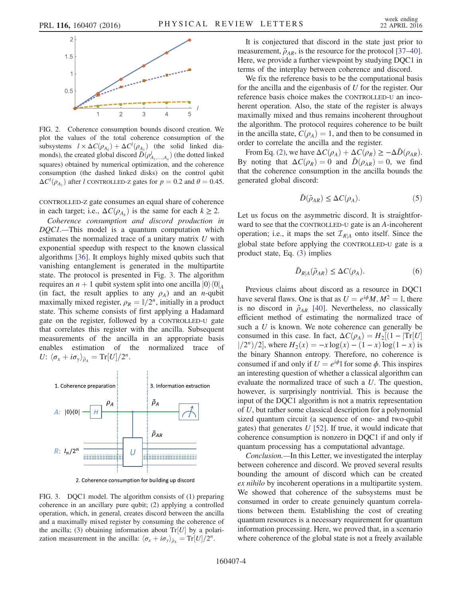

FIG. 2. Coherence consumption bounds discord creation. We plot the values of the total coherence consumption of the subsystems  $l \times \Delta C(\rho_{A_k}) + \Delta C^l(\rho_{A_1})$  (the solid linked dia-<br>monde) the created global discord  $\bar{D}(c^l)$  (the dotted linked monds), the created global discord  $\overline{D}(\rho_{A_1,...,A_n}^I)$  (the dotted linked squares) obtained by numerical optimization, and the coherence consumption (the dashed linked disks) on the control qubit  $\Delta C^l(\rho_{A_1})$  after l CONTROLLED-Z gates for  $p = 0.2$  and  $\theta = 0.45$ .

CONTROLLED-Z gate consumes an equal share of coherence in each target; i.e.,  $\Delta C(\rho_{A_k})$  is the same for each  $k \geq 2$ .

Coherence consumption and discord production in DQC1.—This model is a quantum computation which estimates the normalized trace of a unitary matrix U with exponential speedup with respect to the known classical algorithms [36]. It employs highly mixed qubits such that vanishing entanglement is generated in the multipartite state. The protocol is presented in Fig. 3. The algorithm requires an  $n + 1$  qubit system split into one ancilla  $|0\rangle\langle0|_A$ (in fact, the result applies to any  $\rho_A$ ) and an *n*-qubit maximally mixed register,  $\rho_R = 1/2^n$ , initially in a product state. This scheme consists of first applying a Hadamard gate on the register, followed by a CONTROLLED-U gate that correlates this register with the ancilla. Subsequent measurements of the ancilla in an appropriate basis enables estimation of the normalized trace of U:  $\langle \sigma_x + i \sigma_y \rangle_{\tilde{\rho}_A} = \text{Tr}[U]/2^n$ .



2. Coherence consumption for building up discord

FIG. 3. DQC1 model. The algorithm consists of (1) preparing coherence in an ancillary pure qubit; (2) applying a controlled operation, which, in general, creates discord between the ancilla and a maximally mixed register by consuming the coherence of the ancilla; (3) obtaining information about  $Tr[U]$  by a polarization measurement in the ancilla:  $\langle \sigma_x + i \sigma_y \rangle_{\tilde{\rho}_A} = \text{Tr}[U]/2^n$ .

It is conjectured that discord in the state just prior to measurement,  $\tilde{\rho}_{AR}$ , is the resource for the protocol [37–40]. Here, we provide a further viewpoint by studying DQC1 in terms of the interplay between coherence and discord.

We fix the reference basis to be the computational basis for the ancilla and the eigenbasis of U for the register. Our reference basis choice makes the CONTROLLED-U an incoherent operation. Also, the state of the register is always maximally mixed and thus remains incoherent throughout the algorithm. The protocol requires coherence to be built in the ancilla state,  $C(\rho_A) = 1$ , and then to be consumed in order to correlate the ancilla and the register.

From Eq. (2), we have  $\Delta C(\rho_A) + \Delta C(\rho_R) \geq -\Delta \bar{D}(\rho_{AR})$ . By noting that  $\Delta C(\rho_R) = 0$  and  $\bar{D}(\rho_{AR}) = 0$ , we find that the coherence consumption in the ancilla bounds the generated global discord:

$$
\bar{D}(\tilde{\rho}_{AR}) \le \Delta C(\rho_A). \tag{5}
$$

Let us focus on the asymmetric discord. It is straightforward to see that the CONTROLLED-U gate is an A-incoherent operation; i.e., it maps the set  $\mathcal{I}_{R|A}$  onto itself. Since the global state before applying the CONTROLLED-U gate is a product state, Eq. (3) implies

$$
\bar{D}_{R|A}(\tilde{\rho}_{AR}) \le \Delta C(\rho_A). \tag{6}
$$

Previous claims about discord as a resource in DQC1 have several flaws. One is that as  $U = e^{i\phi}M$ ,  $M^2 = \mathbb{I}$ , there is no discord in  $\tilde{\rho}_{AR}$  [40]. Nevertheless, no classically efficient method of estimating the normalized trace of such a  $U$  is known. We note coherence can generally be consumed in this case. In fact,  $\Delta C(\rho_A) = H_2[(1 - |Tr[U])]$  $|2^n/2|$ , where  $H_2(x) = -x \log(x) - (1 - x) \log(1 - x)$  is the binary Shannon entropy. Therefore, no coherence is consumed if and only if  $U = e^{i\phi}$  for some  $\phi$ . This inspires an interesting question of whether a classical algorithm can evaluate the normalized trace of such a U. The question, however, is surprisingly nontrivial. This is because the input of the DQC1 algorithm is not a matrix representation of U, but rather some classical description for a polynomial sized quantum circuit (a sequence of one- and two-qubit gates) that generates  $U$  [52]. If true, it would indicate that coherence consumption is nonzero in DQC1 if and only if quantum processing has a computational advantage.

Conclusion.—In this Letter, we investigated the interplay between coherence and discord. We proved several results bounding the amount of discord which can be created ex nihilo by incoherent operations in a multipartite system. We showed that coherence of the subsystems must be consumed in order to create genuinely quantum correlations between them. Establishing the cost of creating quantum resources is a necessary requirement for quantum information processing. Here, we proved that, in a scenario where coherence of the global state is not a freely available